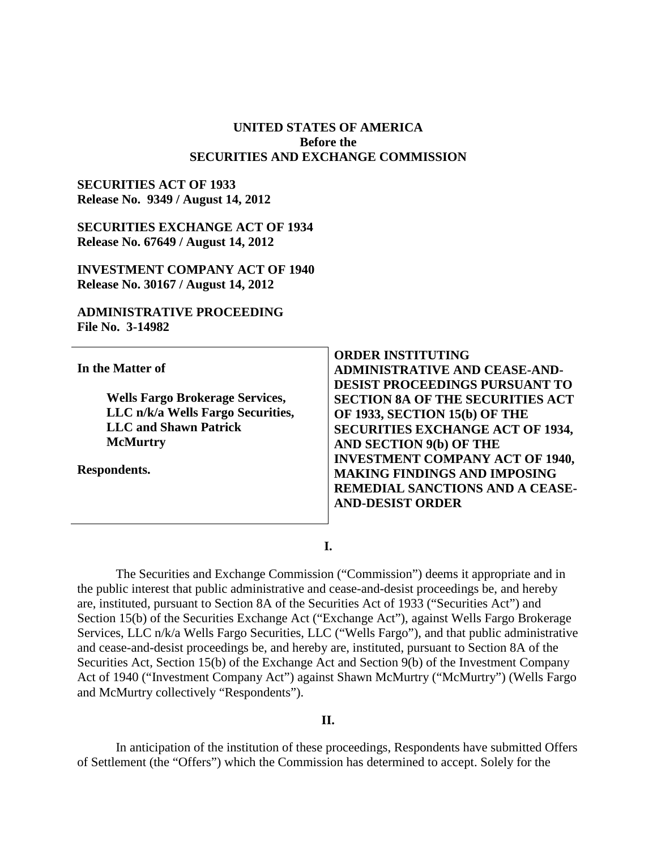#### **UNITED STATES OF AMERICA Before the SECURITIES AND EXCHANGE COMMISSION**

#### **SECURITIES ACT OF 1933 Release No. 9349 / August 14, 2012**

**SECURITIES EXCHANGE ACT OF 1934 Release No. 67649 / August 14, 2012** 

**INVESTMENT COMPANY ACT OF 1940 Release No. 30167 / August 14, 2012** 

#### **ADMINISTRATIVE PROCEEDING File No. 3-14982**

|                                        | <b>ORDER INSTITUTING</b>                |
|----------------------------------------|-----------------------------------------|
| In the Matter of                       | <b>ADMINISTRATIVE AND CEASE-AND-</b>    |
|                                        | <b>DESIST PROCEEDINGS PURSUANT TO</b>   |
| <b>Wells Fargo Brokerage Services,</b> | <b>SECTION 8A OF THE SECURITIES ACT</b> |
| LLC n/k/a Wells Fargo Securities,      | OF 1933, SECTION 15(b) OF THE           |
| <b>LLC and Shawn Patrick</b>           | <b>SECURITIES EXCHANGE ACT OF 1934,</b> |
| <b>McMurtry</b>                        | <b>AND SECTION 9(b) OF THE</b>          |
|                                        | <b>INVESTMENT COMPANY ACT OF 1940,</b>  |
| Respondents.                           | <b>MAKING FINDINGS AND IMPOSING</b>     |
|                                        | REMEDIAL SANCTIONS AND A CEASE-         |
|                                        | <b>AND-DESIST ORDER</b>                 |
|                                        |                                         |

**I.**

The Securities and Exchange Commission ("Commission") deems it appropriate and in the public interest that public administrative and cease-and-desist proceedings be, and hereby are, instituted, pursuant to Section 8A of the Securities Act of 1933 ("Securities Act") and Section 15(b) of the Securities Exchange Act ("Exchange Act"), against Wells Fargo Brokerage Services, LLC n/k/a Wells Fargo Securities, LLC ("Wells Fargo"), and that public administrative and cease-and-desist proceedings be, and hereby are, instituted, pursuant to Section 8A of the Securities Act, Section 15(b) of the Exchange Act and Section 9(b) of the Investment Company Act of 1940 ("Investment Company Act") against Shawn McMurtry ("McMurtry") (Wells Fargo and McMurtry collectively "Respondents").

## **II.**

In anticipation of the institution of these proceedings, Respondents have submitted Offers of Settlement (the "Offers") which the Commission has determined to accept. Solely for the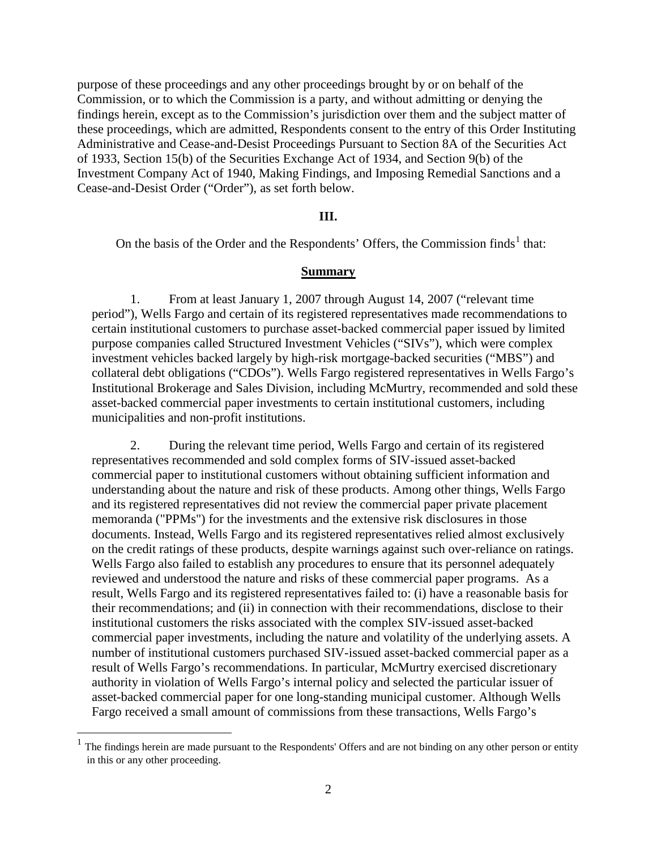purpose of these proceedings and any other proceedings brought by or on behalf of the Commission, or to which the Commission is a party, and without admitting or denying the findings herein, except as to the Commission's jurisdiction over them and the subject matter of these proceedings, which are admitted, Respondents consent to the entry of this Order Instituting Administrative and Cease-and-Desist Proceedings Pursuant to Section 8A of the Securities Act of 1933, Section 15(b) of the Securities Exchange Act of 1934, and Section 9(b) of the Investment Company Act of 1940, Making Findings, and Imposing Remedial Sanctions and a Cease-and-Desist Order ("Order"), as set forth below.

#### **III.**

On the basis of the Order and the Respondents' Offers, the Commission finds<sup>[1](#page-1-0)</sup> that:

#### **Summary**

1. From at least January 1, 2007 through August 14, 2007 ("relevant time period"), Wells Fargo and certain of its registered representatives made recommendations to certain institutional customers to purchase asset-backed commercial paper issued by limited purpose companies called Structured Investment Vehicles ("SIVs"), which were complex investment vehicles backed largely by high-risk mortgage-backed securities ("MBS") and collateral debt obligations ("CDOs"). Wells Fargo registered representatives in Wells Fargo's Institutional Brokerage and Sales Division, including McMurtry, recommended and sold these asset-backed commercial paper investments to certain institutional customers, including municipalities and non-profit institutions.

2. During the relevant time period, Wells Fargo and certain of its registered representatives recommended and sold complex forms of SIV-issued asset-backed commercial paper to institutional customers without obtaining sufficient information and understanding about the nature and risk of these products. Among other things, Wells Fargo and its registered representatives did not review the commercial paper private placement memoranda ("PPMs") for the investments and the extensive risk disclosures in those documents. Instead, Wells Fargo and its registered representatives relied almost exclusively on the credit ratings of these products, despite warnings against such over-reliance on ratings. Wells Fargo also failed to establish any procedures to ensure that its personnel adequately reviewed and understood the nature and risks of these commercial paper programs. As a result, Wells Fargo and its registered representatives failed to: (i) have a reasonable basis for their recommendations; and (ii) in connection with their recommendations, disclose to their institutional customers the risks associated with the complex SIV-issued asset-backed commercial paper investments, including the nature and volatility of the underlying assets. A number of institutional customers purchased SIV-issued asset-backed commercial paper as a result of Wells Fargo's recommendations. In particular, McMurtry exercised discretionary authority in violation of Wells Fargo's internal policy and selected the particular issuer of asset-backed commercial paper for one long-standing municipal customer. Although Wells Fargo received a small amount of commissions from these transactions, Wells Fargo's

<span id="page-1-0"></span><sup>1</sup> The findings herein are made pursuant to the Respondents' Offers and are not binding on any other person or entity in this or any other proceeding.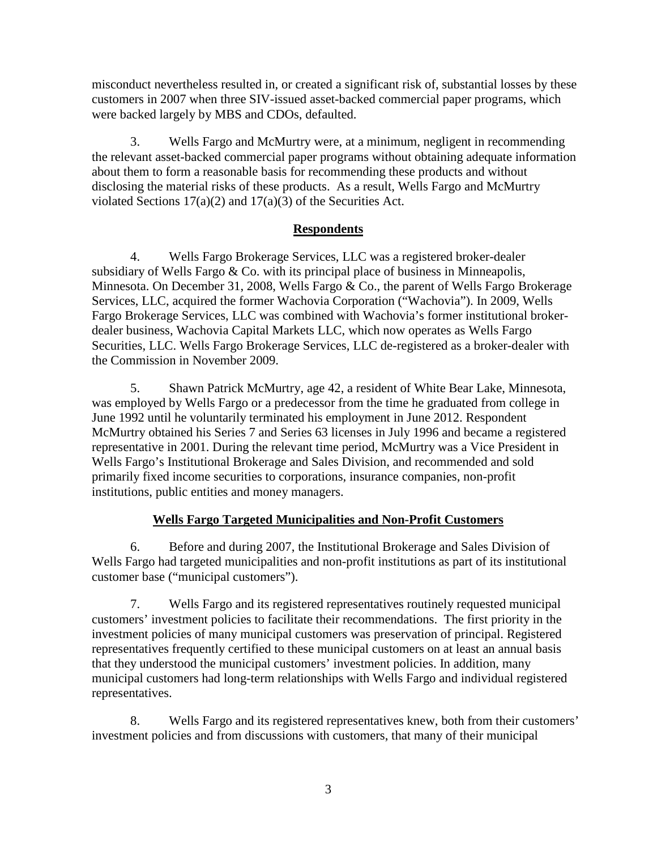misconduct nevertheless resulted in, or created a significant risk of, substantial losses by these customers in 2007 when three SIV-issued asset-backed commercial paper programs, which were backed largely by MBS and CDOs, defaulted.

3. Wells Fargo and McMurtry were, at a minimum, negligent in recommending the relevant asset-backed commercial paper programs without obtaining adequate information about them to form a reasonable basis for recommending these products and without disclosing the material risks of these products. As a result, Wells Fargo and McMurtry violated Sections  $17(a)(2)$  and  $17(a)(3)$  of the Securities Act.

# **Respondents**

4. Wells Fargo Brokerage Services, LLC was a registered broker-dealer subsidiary of Wells Fargo  $& Co.$  with its principal place of business in Minneapolis, Minnesota. On December 31, 2008, Wells Fargo & Co., the parent of Wells Fargo Brokerage Services, LLC, acquired the former Wachovia Corporation ("Wachovia"). In 2009, Wells Fargo Brokerage Services, LLC was combined with Wachovia's former institutional brokerdealer business, Wachovia Capital Markets LLC, which now operates as Wells Fargo Securities, LLC. Wells Fargo Brokerage Services, LLC de-registered as a broker-dealer with the Commission in November 2009.

5. Shawn Patrick McMurtry, age 42, a resident of White Bear Lake, Minnesota, was employed by Wells Fargo or a predecessor from the time he graduated from college in June 1992 until he voluntarily terminated his employment in June 2012. Respondent McMurtry obtained his Series 7 and Series 63 licenses in July 1996 and became a registered representative in 2001. During the relevant time period, McMurtry was a Vice President in Wells Fargo's Institutional Brokerage and Sales Division, and recommended and sold primarily fixed income securities to corporations, insurance companies, non-profit institutions, public entities and money managers.

# **Wells Fargo Targeted Municipalities and Non-Profit Customers**

6. Before and during 2007, the Institutional Brokerage and Sales Division of Wells Fargo had targeted municipalities and non-profit institutions as part of its institutional customer base ("municipal customers").

7. Wells Fargo and its registered representatives routinely requested municipal customers' investment policies to facilitate their recommendations. The first priority in the investment policies of many municipal customers was preservation of principal. Registered representatives frequently certified to these municipal customers on at least an annual basis that they understood the municipal customers' investment policies. In addition, many municipal customers had long-term relationships with Wells Fargo and individual registered representatives.

8. Wells Fargo and its registered representatives knew, both from their customers' investment policies and from discussions with customers, that many of their municipal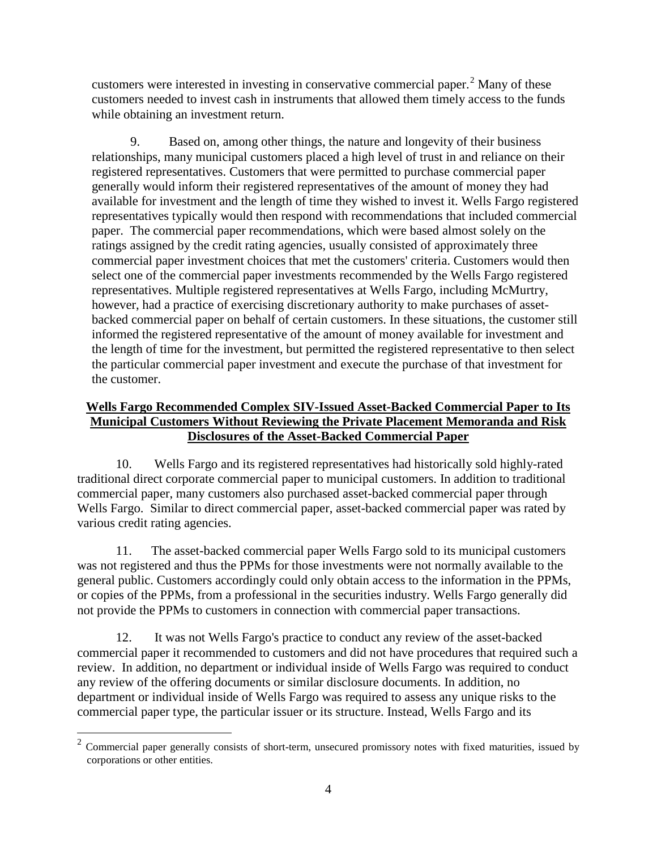customers were interested in investing in conservative commercial paper. $<sup>2</sup>$  $<sup>2</sup>$  $<sup>2</sup>$  Many of these</sup> customers needed to invest cash in instruments that allowed them timely access to the funds while obtaining an investment return.

9. Based on, among other things, the nature and longevity of their business relationships, many municipal customers placed a high level of trust in and reliance on their registered representatives. Customers that were permitted to purchase commercial paper generally would inform their registered representatives of the amount of money they had available for investment and the length of time they wished to invest it. Wells Fargo registered representatives typically would then respond with recommendations that included commercial paper. The commercial paper recommendations, which were based almost solely on the ratings assigned by the credit rating agencies, usually consisted of approximately three commercial paper investment choices that met the customers' criteria. Customers would then select one of the commercial paper investments recommended by the Wells Fargo registered representatives. Multiple registered representatives at Wells Fargo, including McMurtry, however, had a practice of exercising discretionary authority to make purchases of assetbacked commercial paper on behalf of certain customers. In these situations, the customer still informed the registered representative of the amount of money available for investment and the length of time for the investment, but permitted the registered representative to then select the particular commercial paper investment and execute the purchase of that investment for the customer.

# **Wells Fargo Recommended Complex SIV-Issued Asset-Backed Commercial Paper to Its Municipal Customers Without Reviewing the Private Placement Memoranda and Risk Disclosures of the Asset-Backed Commercial Paper**

10. Wells Fargo and its registered representatives had historically sold highly-rated traditional direct corporate commercial paper to municipal customers. In addition to traditional commercial paper, many customers also purchased asset-backed commercial paper through Wells Fargo. Similar to direct commercial paper, asset-backed commercial paper was rated by various credit rating agencies.

11. The asset-backed commercial paper Wells Fargo sold to its municipal customers was not registered and thus the PPMs for those investments were not normally available to the general public. Customers accordingly could only obtain access to the information in the PPMs, or copies of the PPMs, from a professional in the securities industry. Wells Fargo generally did not provide the PPMs to customers in connection with commercial paper transactions.

12. It was not Wells Fargo's practice to conduct any review of the asset-backed commercial paper it recommended to customers and did not have procedures that required such a review. In addition, no department or individual inside of Wells Fargo was required to conduct any review of the offering documents or similar disclosure documents. In addition, no department or individual inside of Wells Fargo was required to assess any unique risks to the commercial paper type, the particular issuer or its structure. Instead, Wells Fargo and its

<span id="page-3-0"></span> $2$  Commercial paper generally consists of short-term, unsecured promissory notes with fixed maturities, issued by corporations or other entities.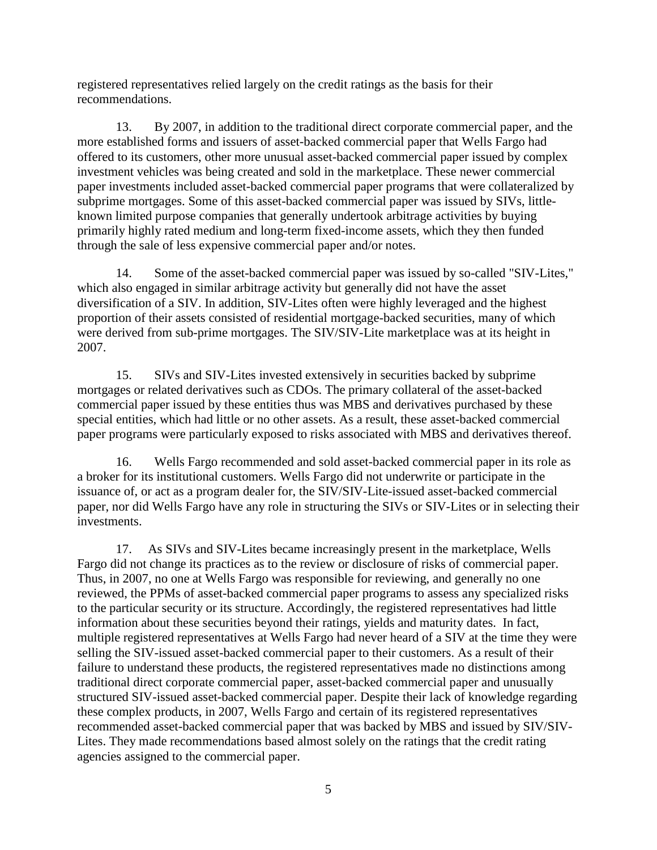registered representatives relied largely on the credit ratings as the basis for their recommendations.

13. By 2007, in addition to the traditional direct corporate commercial paper, and the more established forms and issuers of asset-backed commercial paper that Wells Fargo had offered to its customers, other more unusual asset-backed commercial paper issued by complex investment vehicles was being created and sold in the marketplace. These newer commercial paper investments included asset-backed commercial paper programs that were collateralized by subprime mortgages. Some of this asset-backed commercial paper was issued by SIVs, littleknown limited purpose companies that generally undertook arbitrage activities by buying primarily highly rated medium and long-term fixed-income assets, which they then funded through the sale of less expensive commercial paper and/or notes.

14. Some of the asset-backed commercial paper was issued by so-called "SIV-Lites," which also engaged in similar arbitrage activity but generally did not have the asset diversification of a SIV. In addition, SIV-Lites often were highly leveraged and the highest proportion of their assets consisted of residential mortgage-backed securities, many of which were derived from sub-prime mortgages. The SIV/SIV-Lite marketplace was at its height in 2007.

15. SIVs and SIV-Lites invested extensively in securities backed by subprime mortgages or related derivatives such as CDOs. The primary collateral of the asset-backed commercial paper issued by these entities thus was MBS and derivatives purchased by these special entities, which had little or no other assets. As a result, these asset-backed commercial paper programs were particularly exposed to risks associated with MBS and derivatives thereof.

16. Wells Fargo recommended and sold asset-backed commercial paper in its role as a broker for its institutional customers. Wells Fargo did not underwrite or participate in the issuance of, or act as a program dealer for, the SIV/SIV-Lite-issued asset-backed commercial paper, nor did Wells Fargo have any role in structuring the SIVs or SIV-Lites or in selecting their investments.

17. As SIVs and SIV-Lites became increasingly present in the marketplace, Wells Fargo did not change its practices as to the review or disclosure of risks of commercial paper. Thus, in 2007, no one at Wells Fargo was responsible for reviewing, and generally no one reviewed, the PPMs of asset-backed commercial paper programs to assess any specialized risks to the particular security or its structure. Accordingly, the registered representatives had little information about these securities beyond their ratings, yields and maturity dates. In fact, multiple registered representatives at Wells Fargo had never heard of a SIV at the time they were selling the SIV-issued asset-backed commercial paper to their customers. As a result of their failure to understand these products, the registered representatives made no distinctions among traditional direct corporate commercial paper, asset-backed commercial paper and unusually structured SIV-issued asset-backed commercial paper. Despite their lack of knowledge regarding these complex products, in 2007, Wells Fargo and certain of its registered representatives recommended asset-backed commercial paper that was backed by MBS and issued by SIV/SIV-Lites. They made recommendations based almost solely on the ratings that the credit rating agencies assigned to the commercial paper.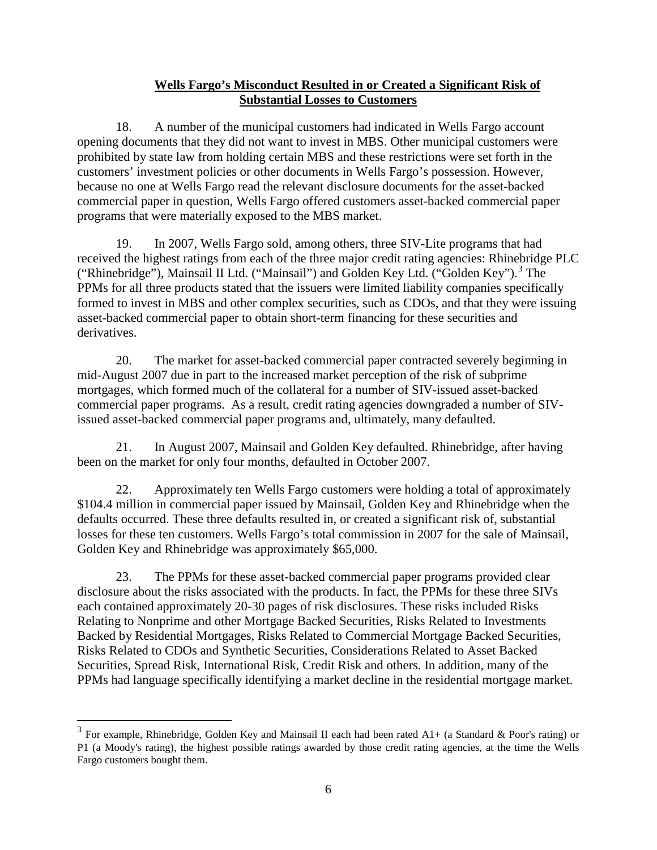# **Wells Fargo's Misconduct Resulted in or Created a Significant Risk of Substantial Losses to Customers**

18. A number of the municipal customers had indicated in Wells Fargo account opening documents that they did not want to invest in MBS. Other municipal customers were prohibited by state law from holding certain MBS and these restrictions were set forth in the customers' investment policies or other documents in Wells Fargo's possession. However, because no one at Wells Fargo read the relevant disclosure documents for the asset-backed commercial paper in question, Wells Fargo offered customers asset-backed commercial paper programs that were materially exposed to the MBS market.

19. In 2007, Wells Fargo sold, among others, three SIV-Lite programs that had received the highest ratings from each of the three major credit rating agencies: Rhinebridge PLC ("Rhinebridge"), Mainsail II Ltd. ("Mainsail") and Golden Key Ltd. ("Golden Key").<sup>[3](#page-5-0)</sup> The PPMs for all three products stated that the issuers were limited liability companies specifically formed to invest in MBS and other complex securities, such as CDOs, and that they were issuing asset-backed commercial paper to obtain short-term financing for these securities and derivatives.

20. The market for asset-backed commercial paper contracted severely beginning in mid-August 2007 due in part to the increased market perception of the risk of subprime mortgages, which formed much of the collateral for a number of SIV-issued asset-backed commercial paper programs. As a result, credit rating agencies downgraded a number of SIVissued asset-backed commercial paper programs and, ultimately, many defaulted.

21. In August 2007, Mainsail and Golden Key defaulted. Rhinebridge, after having been on the market for only four months, defaulted in October 2007.

22. Approximately ten Wells Fargo customers were holding a total of approximately \$104.4 million in commercial paper issued by Mainsail, Golden Key and Rhinebridge when the defaults occurred. These three defaults resulted in, or created a significant risk of, substantial losses for these ten customers. Wells Fargo's total commission in 2007 for the sale of Mainsail, Golden Key and Rhinebridge was approximately \$65,000.

23. The PPMs for these asset-backed commercial paper programs provided clear disclosure about the risks associated with the products. In fact, the PPMs for these three SIVs each contained approximately 20-30 pages of risk disclosures. These risks included Risks Relating to Nonprime and other Mortgage Backed Securities, Risks Related to Investments Backed by Residential Mortgages, Risks Related to Commercial Mortgage Backed Securities, Risks Related to CDOs and Synthetic Securities, Considerations Related to Asset Backed Securities, Spread Risk, International Risk, Credit Risk and others. In addition, many of the PPMs had language specifically identifying a market decline in the residential mortgage market.

<span id="page-5-0"></span><sup>&</sup>lt;sup>3</sup> For example, Rhinebridge, Golden Key and Mainsail II each had been rated A1+ (a Standard & Poor's rating) or P1 (a Moody's rating), the highest possible ratings awarded by those credit rating agencies, at the time the Wells Fargo customers bought them.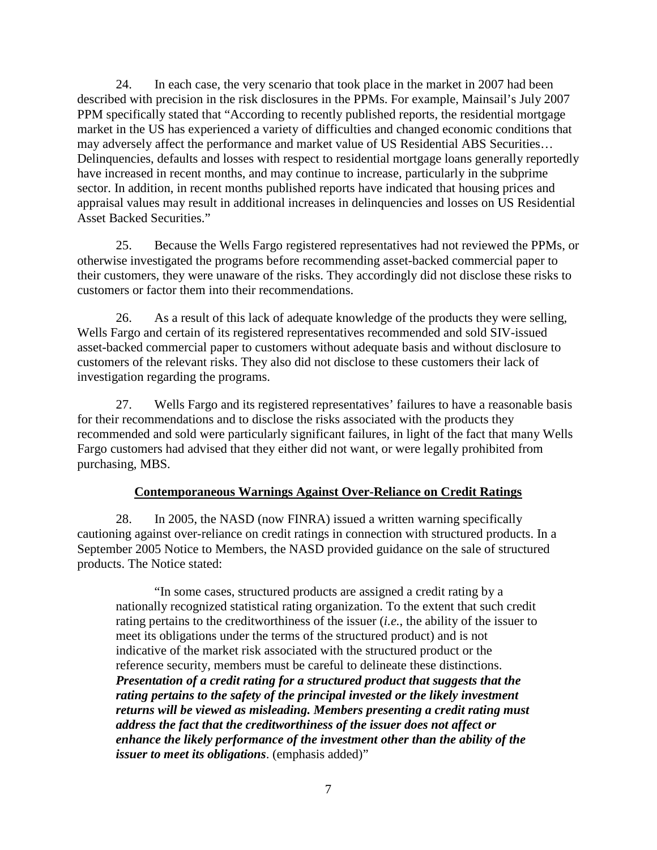24. In each case, the very scenario that took place in the market in 2007 had been described with precision in the risk disclosures in the PPMs. For example, Mainsail's July 2007 PPM specifically stated that "According to recently published reports, the residential mortgage market in the US has experienced a variety of difficulties and changed economic conditions that may adversely affect the performance and market value of US Residential ABS Securities… Delinquencies, defaults and losses with respect to residential mortgage loans generally reportedly have increased in recent months, and may continue to increase, particularly in the subprime sector. In addition, in recent months published reports have indicated that housing prices and appraisal values may result in additional increases in delinquencies and losses on US Residential Asset Backed Securities."

25. Because the Wells Fargo registered representatives had not reviewed the PPMs, or otherwise investigated the programs before recommending asset-backed commercial paper to their customers, they were unaware of the risks. They accordingly did not disclose these risks to customers or factor them into their recommendations.

26. As a result of this lack of adequate knowledge of the products they were selling, Wells Fargo and certain of its registered representatives recommended and sold SIV-issued asset-backed commercial paper to customers without adequate basis and without disclosure to customers of the relevant risks. They also did not disclose to these customers their lack of investigation regarding the programs.

27. Wells Fargo and its registered representatives' failures to have a reasonable basis for their recommendations and to disclose the risks associated with the products they recommended and sold were particularly significant failures, in light of the fact that many Wells Fargo customers had advised that they either did not want, or were legally prohibited from purchasing, MBS.

# **Contemporaneous Warnings Against Over-Reliance on Credit Ratings**

28. In 2005, the NASD (now FINRA) issued a written warning specifically cautioning against over-reliance on credit ratings in connection with structured products. In a September 2005 Notice to Members, the NASD provided guidance on the sale of structured products. The Notice stated:

"In some cases, structured products are assigned a credit rating by a nationally recognized statistical rating organization. To the extent that such credit rating pertains to the creditworthiness of the issuer (*i.e.*, the ability of the issuer to meet its obligations under the terms of the structured product) and is not indicative of the market risk associated with the structured product or the reference security, members must be careful to delineate these distinctions. *Presentation of a credit rating for a structured product that suggests that the rating pertains to the safety of the principal invested or the likely investment returns will be viewed as misleading. Members presenting a credit rating must address the fact that the creditworthiness of the issuer does not affect or enhance the likely performance of the investment other than the ability of the issuer to meet its obligations*. (emphasis added)"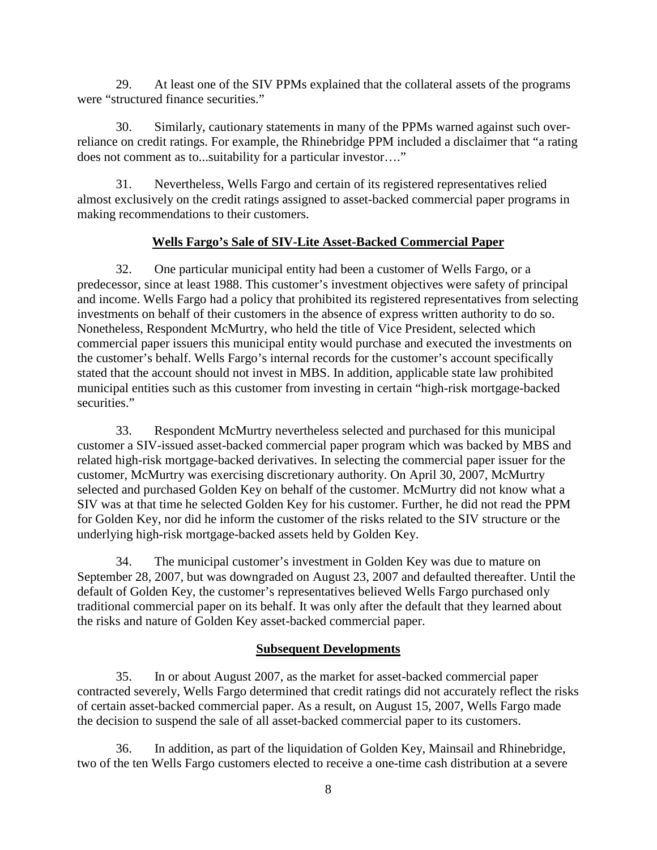29. At least one of the SIV PPMs explained that the collateral assets of the programs were "structured finance securities."

30. Similarly, cautionary statements in many of the PPMs warned against such overreliance on credit ratings. For example, the Rhinebridge PPM included a disclaimer that "a rating does not comment as to...suitability for a particular investor…."

31. Nevertheless, Wells Fargo and certain of its registered representatives relied almost exclusively on the credit ratings assigned to asset-backed commercial paper programs in making recommendations to their customers.

# **Wells Fargo's Sale of SIV-Lite Asset-Backed Commercial Paper**

32. One particular municipal entity had been a customer of Wells Fargo, or a predecessor, since at least 1988. This customer's investment objectives were safety of principal and income. Wells Fargo had a policy that prohibited its registered representatives from selecting investments on behalf of their customers in the absence of express written authority to do so. Nonetheless, Respondent McMurtry, who held the title of Vice President, selected which commercial paper issuers this municipal entity would purchase and executed the investments on the customer's behalf. Wells Fargo's internal records for the customer's account specifically stated that the account should not invest in MBS. In addition, applicable state law prohibited municipal entities such as this customer from investing in certain "high-risk mortgage-backed securities."

33. Respondent McMurtry nevertheless selected and purchased for this municipal customer a SIV-issued asset-backed commercial paper program which was backed by MBS and related high-risk mortgage-backed derivatives. In selecting the commercial paper issuer for the customer, McMurtry was exercising discretionary authority. On April 30, 2007, McMurtry selected and purchased Golden Key on behalf of the customer. McMurtry did not know what a SIV was at that time he selected Golden Key for his customer. Further, he did not read the PPM for Golden Key, nor did he inform the customer of the risks related to the SIV structure or the underlying high-risk mortgage-backed assets held by Golden Key.

34. The municipal customer's investment in Golden Key was due to mature on September 28, 2007, but was downgraded on August 23, 2007 and defaulted thereafter. Until the default of Golden Key, the customer's representatives believed Wells Fargo purchased only traditional commercial paper on its behalf. It was only after the default that they learned about the risks and nature of Golden Key asset-backed commercial paper.

# **Subsequent Developments**

35. In or about August 2007, as the market for asset-backed commercial paper contracted severely, Wells Fargo determined that credit ratings did not accurately reflect the risks of certain asset-backed commercial paper. As a result, on August 15, 2007, Wells Fargo made the decision to suspend the sale of all asset-backed commercial paper to its customers.

36. In addition, as part of the liquidation of Golden Key, Mainsail and Rhinebridge, two of the ten Wells Fargo customers elected to receive a one-time cash distribution at a severe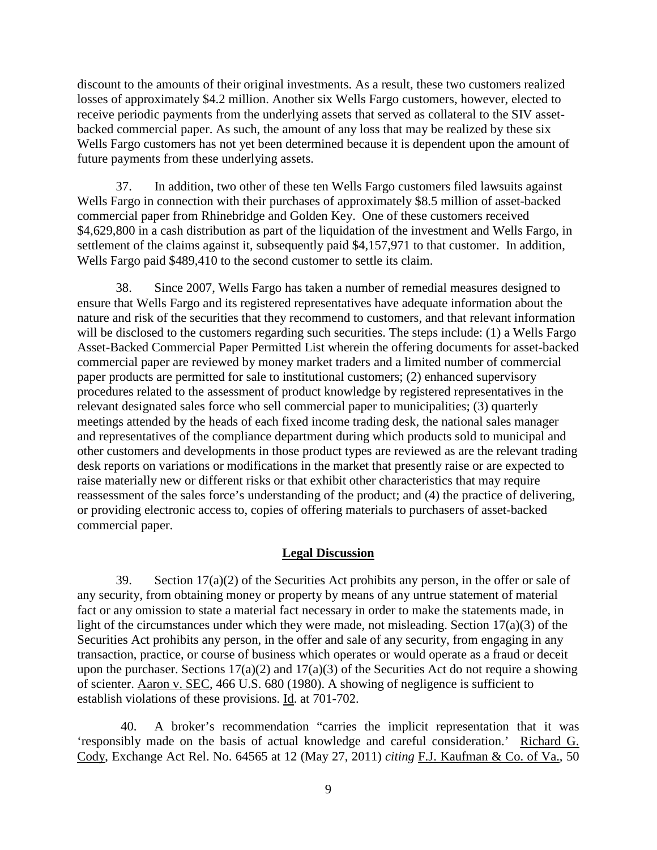discount to the amounts of their original investments. As a result, these two customers realized losses of approximately \$4.2 million. Another six Wells Fargo customers, however, elected to receive periodic payments from the underlying assets that served as collateral to the SIV assetbacked commercial paper. As such, the amount of any loss that may be realized by these six Wells Fargo customers has not yet been determined because it is dependent upon the amount of future payments from these underlying assets.

37. In addition, two other of these ten Wells Fargo customers filed lawsuits against Wells Fargo in connection with their purchases of approximately \$8.5 million of asset-backed commercial paper from Rhinebridge and Golden Key. One of these customers received \$4,629,800 in a cash distribution as part of the liquidation of the investment and Wells Fargo, in settlement of the claims against it, subsequently paid \$4,157,971 to that customer. In addition, Wells Fargo paid \$489,410 to the second customer to settle its claim.

38. Since 2007, Wells Fargo has taken a number of remedial measures designed to ensure that Wells Fargo and its registered representatives have adequate information about the nature and risk of the securities that they recommend to customers, and that relevant information will be disclosed to the customers regarding such securities. The steps include: (1) a Wells Fargo Asset-Backed Commercial Paper Permitted List wherein the offering documents for asset-backed commercial paper are reviewed by money market traders and a limited number of commercial paper products are permitted for sale to institutional customers; (2) enhanced supervisory procedures related to the assessment of product knowledge by registered representatives in the relevant designated sales force who sell commercial paper to municipalities; (3) quarterly meetings attended by the heads of each fixed income trading desk, the national sales manager and representatives of the compliance department during which products sold to municipal and other customers and developments in those product types are reviewed as are the relevant trading desk reports on variations or modifications in the market that presently raise or are expected to raise materially new or different risks or that exhibit other characteristics that may require reassessment of the sales force's understanding of the product; and (4) the practice of delivering, or providing electronic access to, copies of offering materials to purchasers of asset-backed commercial paper.

### **Legal Discussion**

39. Section 17(a)(2) of the Securities Act prohibits any person, in the offer or sale of any security, from obtaining money or property by means of any untrue statement of material fact or any omission to state a material fact necessary in order to make the statements made, in light of the circumstances under which they were made, not misleading. Section 17(a)(3) of the Securities Act prohibits any person, in the offer and sale of any security, from engaging in any transaction, practice, or course of business which operates or would operate as a fraud or deceit upon the purchaser. Sections  $17(a)(2)$  and  $17(a)(3)$  of the Securities Act do not require a showing of scienter. Aaron v. SEC, 466 U.S. 680 (1980). A showing of negligence is sufficient to establish violations of these provisions. Id. at 701-702.

40. A broker's recommendation "carries the implicit representation that it was 'responsibly made on the basis of actual knowledge and careful consideration.' Richard G. Cody, Exchange Act Rel. No. 64565 at 12 (May 27, 2011) *citing* F.J. Kaufman & Co. of Va., 50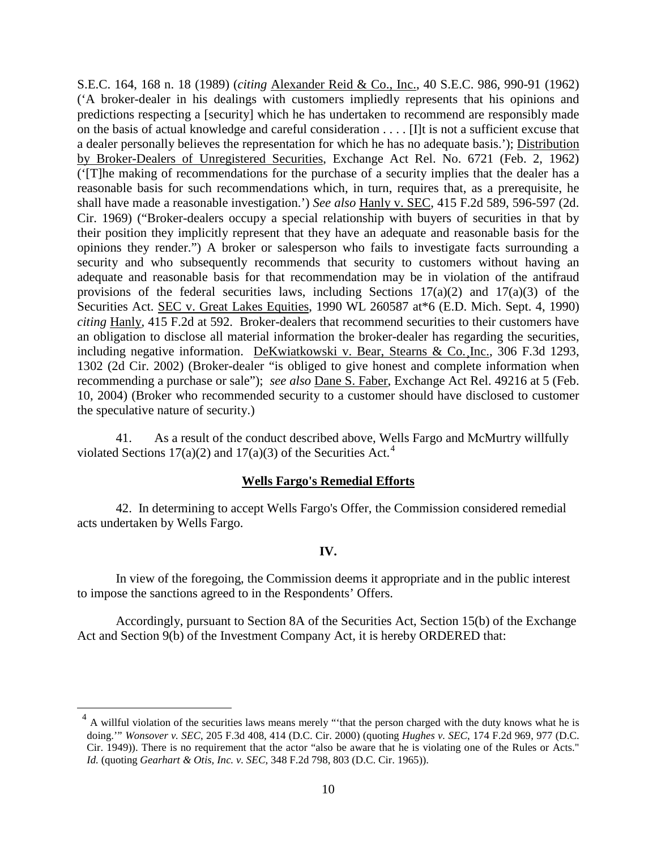S.E.C. 164, 168 n. 18 (1989) (*citing* Alexander Reid & Co., Inc., 40 S.E.C. 986, 990-91 (1962) ('A broker-dealer in his dealings with customers impliedly represents that his opinions and predictions respecting a [security] which he has undertaken to recommend are responsibly made on the basis of actual knowledge and careful consideration . . . . [I]t is not a sufficient excuse that a dealer personally believes the representation for which he has no adequate basis.'); Distribution by Broker-Dealers of Unregistered Securities, Exchange Act Rel. No. 6721 (Feb. 2, 1962) ('[T]he making of recommendations for the purchase of a security implies that the dealer has a reasonable basis for such recommendations which, in turn, requires that, as a prerequisite, he shall have made a reasonable investigation.') *See also* Hanly v. SEC, 415 F.2d 589, 596-597 (2d. Cir. 1969) ("Broker-dealers occupy a special relationship with buyers of securities in that by their position they implicitly represent that they have an adequate and reasonable basis for the opinions they render.") A broker or salesperson who fails to investigate facts surrounding a security and who subsequently recommends that security to customers without having an adequate and reasonable basis for that recommendation may be in violation of the antifraud provisions of the federal securities laws, including Sections  $17(a)(2)$  and  $17(a)(3)$  of the Securities Act. SEC v. Great Lakes Equities, 1990 WL 260587 at\*6 (E.D. Mich. Sept. 4, 1990) *citing* Hanly, 415 F.2d at 592. Broker-dealers that recommend securities to their customers have an obligation to disclose all material information the broker-dealer has regarding the securities, including negative information. DeKwiatkowski v. Bear, Stearns & Co.¸Inc., 306 F.3d 1293, 1302 (2d Cir. 2002) (Broker-dealer "is obliged to give honest and complete information when recommending a purchase or sale"); *see also* Dane S. Faber , Exchange Act Rel. 49216 at 5 (Feb. 10, 2004) (Broker who recommended security to a customer should have disclosed to customer the speculative nature of security.)

41. As a result of the conduct described above, Wells Fargo and McMurtry willfully violated Sections 17(a)(2) and 17(a)(3) of the Securities Act.<sup>[4](#page-9-0)</sup>

#### **Wells Fargo's Remedial Efforts**

42. In determining to accept Wells Fargo's Offer, the Commission considered remedial acts undertaken by Wells Fargo.

#### **IV.**

In view of the foregoing, the Commission deems it appropriate and in the public interest to impose the sanctions agreed to in the Respondents' Offers.

Accordingly, pursuant to Section 8A of the Securities Act, Section 15(b) of the Exchange Act and Section 9(b) of the Investment Company Act, it is hereby ORDERED that:

<span id="page-9-0"></span> $<sup>4</sup>$  A willful violation of the securities laws means merely "that the person charged with the duty knows what he is</sup> doing.'" *Wonsover v. SEC*, 205 F.3d 408, 414 (D.C. Cir. 2000) (quoting *Hughes v. SEC*, 174 F.2d 969, 977 (D.C. Cir. 1949)). There is no requirement that the actor "also be aware that he is violating one of the Rules or Acts." *Id.* (quoting *Gearhart & Otis, Inc. v. SEC*, 348 F.2d 798, 803 (D.C. Cir. 1965)).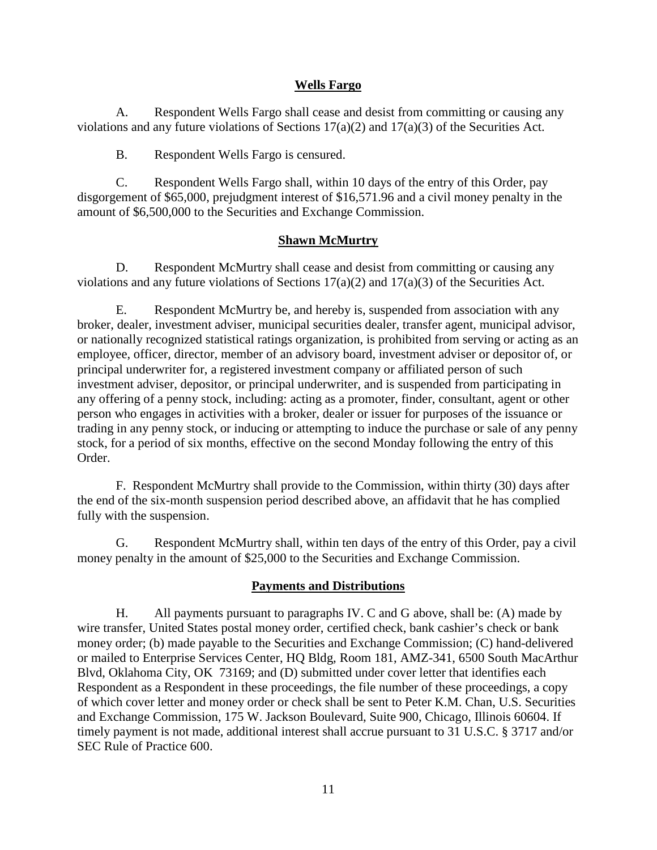## **Wells Fargo**

A. Respondent Wells Fargo shall cease and desist from committing or causing any violations and any future violations of Sections 17(a)(2) and 17(a)(3) of the Securities Act.

B. Respondent Wells Fargo is censured.

C. Respondent Wells Fargo shall, within 10 days of the entry of this Order, pay disgorgement of \$65,000, prejudgment interest of \$16,571.96 and a civil money penalty in the amount of \$6,500,000 to the Securities and Exchange Commission.

## **Shawn McMurtry**

D. Respondent McMurtry shall cease and desist from committing or causing any violations and any future violations of Sections 17(a)(2) and 17(a)(3) of the Securities Act.

E. Respondent McMurtry be, and hereby is, suspended from association with any broker, dealer, investment adviser, municipal securities dealer, transfer agent, municipal advisor, or nationally recognized statistical ratings organization, is prohibited from serving or acting as an employee, officer, director, member of an advisory board, investment adviser or depositor of, or principal underwriter for, a registered investment company or affiliated person of such investment adviser, depositor, or principal underwriter, and is suspended from participating in any offering of a penny stock, including: acting as a promoter, finder, consultant, agent or other person who engages in activities with a broker, dealer or issuer for purposes of the issuance or trading in any penny stock, or inducing or attempting to induce the purchase or sale of any penny stock, for a period of six months, effective on the second Monday following the entry of this Order.

F. Respondent McMurtry shall provide to the Commission, within thirty (30) days after the end of the six-month suspension period described above, an affidavit that he has complied fully with the suspension.

G. Respondent McMurtry shall, within ten days of the entry of this Order, pay a civil money penalty in the amount of \$25,000 to the Securities and Exchange Commission.

### **Payments and Distributions**

H. All payments pursuant to paragraphs IV. C and G above, shall be: (A) made by wire transfer, United States postal money order, certified check, bank cashier's check or bank money order; (b) made payable to the Securities and Exchange Commission; (C) hand-delivered or mailed to Enterprise Services Center, HQ Bldg, Room 181, AMZ-341, 6500 South MacArthur Blvd, Oklahoma City, OK 73169; and (D) submitted under cover letter that identifies each Respondent as a Respondent in these proceedings, the file number of these proceedings, a copy of which cover letter and money order or check shall be sent to Peter K.M. Chan, U.S. Securities and Exchange Commission, 175 W. Jackson Boulevard, Suite 900, Chicago, Illinois 60604. If timely payment is not made, additional interest shall accrue pursuant to 31 U.S.C. § 3717 and/or SEC Rule of Practice 600.